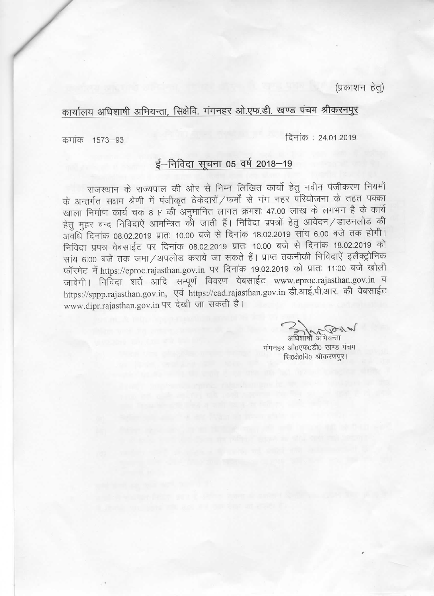(प्रकाशन हेतु)

## कार्यालय अधिशाषी अभियन्ता, सिक्षेवि. गंगनहर ओ.एफ.डी. खण्ड पंचम श्रीकरनपुर

दिनांक: 24.01.2019

कमांक 1573-93

## ई-निविदा सूचना 05 वर्ष 2018-19

राजस्थान के राज्यपाल की ओर से निम्न लिखित कार्यो हेतू नवीन पंजीकरण नियमों के अन्तर्गत सक्षम श्रेणी में पंजीकृत ठेकेदारों / फर्मों से गंग नहर परियोजना के तहत पक्का खाला निर्माण कार्य चक 8 F की अनुमानित लागत क्रमशः 47.00 लाख के लगभग है के कार्य हेतु मुहर बन्द निविदाएं आमन्त्रित की जाती हैं। निविदा प्रपत्रों हेतु आवेदन / डाउनलोड की अवधि दिनांक 08.02.2019 प्रातः 10.00 बजे से दिनांक 18.02.2019 सांय 6.00 बजे तक होगी। निविदा प्रपत्र वेबसाईट पर दिनांक 08.02.2019 प्रातः 10.00 बजे से दिनांक 18.02.2019 को सांय 6:00 बजे तक जमा/अपलोड कराये जा सकते हैं। प्राप्त तकनीकी निविदाएें इलैक्ट्रोनिक फॉरमेट में https://eproc.rajasthan.gov.in पर दिनांक 19.02.2019 को प्रातः 11:00 बजे खोली जावेगी। निविदा शर्ते आदि सम्पूर्ण विवरण वेबसाईट www.eproc.rajasthan.gov.in व https://sppp.rajasthan.gov.in, एवं https://cad.rajasthan.gov.in डी.आई.पी.आर. की वेबसाईट www.dipr.rajasthan.gov.in पर देखी जा सकती है।

अधिशाषी अभियन्ता

गंगनहर ओ०एफ०डी० खण्ड पंचम सि0क्षे0वि0 श्रीकरणपुर।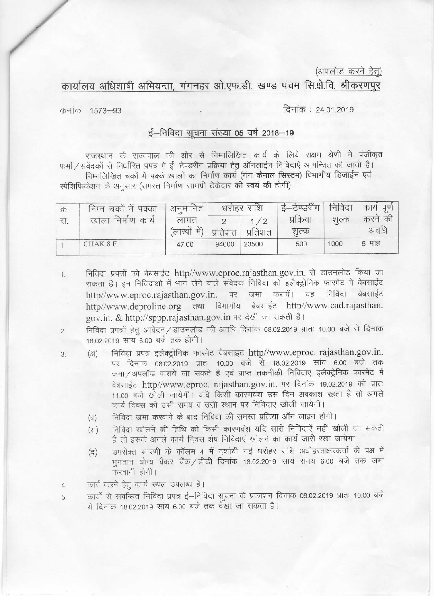(अपलोड करने हेतु)

कार्यालय अधिशाषी अभियन्ता, गंगनहर ओ.एफ.डी. खण्ड पंचम सि.क्षे.वि. श्रीकरणपूर

दिनांक: 24.01.2019

कमांक 1573-93

 $3.$ 

## ई-निविदा सूचना संख्या 05 वर्ष 2018-19

राजस्थान के राज्यपाल की ओर से निम्नलिखित कार्य के लिये सक्षम श्रेणी में पंजीकृत फर्मो / सवेंदकों से निर्धारित प्रपत्र में ई–टेण्डरींग प्रक्रिया हेतु ऑनलाईन निविदाऐं आमन्त्रित की जाती है। निम्नलिखित चकों में पक्के खालों का निर्माण कार्य (गंग कैनाल सिस्टम) विभागीय डिजाईन एवं स्पेशिफिकेशन के अनुसार (समस्त निर्माण सामग्री ठेकेदार की स्वयं की होगी)।

| क्र. | निम्न चकों में पक्का | अनुमानित            | धरोहर राशि |         | ई—टेण्डरींग        | निविदा | कार्य पूर्ण     |
|------|----------------------|---------------------|------------|---------|--------------------|--------|-----------------|
| स्म  | खाला निर्माण कार्य   | लागत<br>(लाखों में) | प्रतिशत    | प्रतिशत | प्रक्रिया<br>शुल्क | शुल्क  | करने की<br>अवधि |
|      | CHAK 8 F             | 47.00               | 94000      | 23500   | 500                | 1000   | 5 माह           |

निविदा प्रपत्रों को बेबसाईट http//www.eproc.rajasthan.gov.in. से डाउनलोड किया जा  $1.$ सकता है। इन निविदाओं में भाग लेने वाले संवेदक निविदा को इलैक्ट्रोनिक फारमेट में बेबसाईट जमा करायें। यह निविदा बेबसाईट http//www.eproc.rajasthan.gov.in. पर http//www.deproline.org तथा विभागीय बेबसाईट http//www.cad.rajasthan. gov.in. & http://sppp.rajasthan.gov.in पर देखी जा सकती है।

निविदा प्रपत्रों हेतु आवेदन / डाउनलोड की अवधि दिनांक 08.02.2019 प्रातः 10.00 बजे से दिनांक  $\overline{2}$ 18.02.2019 सांय 6.00 बजे तक होगी।

- निविदा प्रपत्र इलैक्ट्रोनिक फारमेट वेबसाइट http//www.eproc. rajasthan.gov.in.  $(3I)$ पर दिनांक 08.02.2019 प्रातः 10.00 बजे से 18.02.2019 सांय 6.00 बजे तक जमा / अपलॉड कराये जा सकते है एवं प्राप्त तकनीकी निविदाएं इलैक्ट्रेनिक फारमेट में वेबसाईट http//www.eproc. rajasthan.gov.in. पर दिनांक 19.02.2019 को प्रातः 11.00 बजे खोली जायेगी। यदि किसी कारणवंश उस दिन अवकाश रहता है तो अगले कार्य दिवस को उसी समय व उसी स्थान पर निविदाएं खोली जायेगी।
	- निविदा जमा करवाने के बाद निविदा की समस्त प्रक्रिया ऑन लाइन होगी।  $(\overline{q})$
	- निविदा खोलने की तिथि को किसी कारणवंश यदि सारी निविदाएें नहीं खोली जा सकती  $(FF)$ है तो इसके अगले कार्य दिवस शेष निविदाएं खोलने का कार्य जारी रखा जायेगा।
	- उपरोक्त सारणी के कॉलम 4 में दर्शायी गई धरोहर राशि अधोहस्ताक्षरकर्ता के पक्ष में  $(\vec{z})$ भगतान योग्य बैंकर चैंक / डीडी दिनांक 18.02.2019 सायं समय 6:00 बजे तक जमा करवानी होगी।

कार्य करने हेतु कार्य स्थल उपलब्ध है।  $\overline{4}$ .

कार्यों से संबन्धित निविदा प्रपत्र ई–निविदा सूचना के प्रकाशन दिनांक 08.02.2019 प्रातः 10.00 बजे 5 से दिनांक 18.02.2019 सांय 6.00 बजे तक देखा जा सकता है।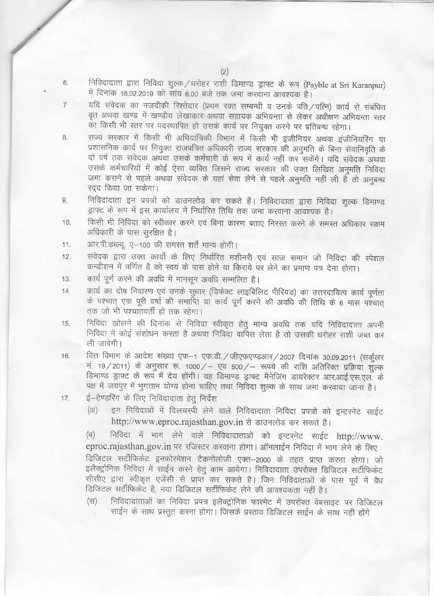निविदादाता द्वारा निविदा शुल्क /धरोहर राशी डिमाण्ड ड्राफ्ट के रूप (Payble at Sri Karanpur) में दिनांक 18.02.2019 को सांय 6.00 बजे तक जमा करवाना आवश्यक है।

- यदि संवेदक का नजदीकी रिश्तेदार (प्रथम रक्त सम्बन्धी व उनके पति / पत्नि) कार्य से संबंधित वृत अथवा खण्ड में खण्डीय लेखाकार अथवा सहायक अभियन्ता से लेकर अधीक्षण अभियन्ता स्तर का किसी भी स्तर पर पदस्थापित हो उसके कार्य पर नियुक्त करने पर प्रतिबन्ध रहेगा।
- राज्य सरकार में किसी भी अभियांत्रिकी विभाग में किसी भी इंजीनियर अथवा इंजीनियरिंग या प्रशासनिक कार्य पर नियुक्त राजपत्रित अधिकारी राज्य सरकार की अनुमति के बिना सेवानिवृति के दो वर्ष तक संवेदक अथवा उसके कर्मचारी के रूप में कार्य नहीं कर सकेंगे। यदि संवेदक अथवा उसके कर्मचारियों में कोई ऐसा व्यक्ति जिसने राज्य सरकार की उक्त लिखित अनुमति निविदा जमा कराने से पहले अथवा संवेदक के यहां सेवा लेने से पहले अनुमति नहीं ली है तो अनुबन्ध रदद किया जा सकेगा।
- निविदादाता इन प्रपत्रों को डाउनलोड कर सकते हैं। निविदादाता द्वारा निविदा शुल्क डिमाण्ड 9. ड्राफ्ट के रूप में इस कार्यालय में निर्धारित तिथि तक जमा करवाना आवश्यक है।
- किसी भी निविदा को स्वीकार करने एवं बिना कारण बताए निरस्त करने के समस्त अधिकार सक्षम  $10.$ अधिकारी के पास सुरक्षित है।
- आर.पी.डब्ल्यू. ए-100 की समस्त शर्ते मान्य होगी। 11.
- संवेदक द्वारा उक्त कार्यो के लिए निर्धारित मशीनरी एवं साज समान जो निविदा की स्पेशल  $12<sub>12</sub>$ कन्डीशन में वर्णित है को स्वयं के पास होने या किराये पर लेने का प्रमाण पत्र देना होगा।
- कार्य पूर्ण करने की अवधि में मानसून अवधि सम्मलित है। 13.
- कार्य का दोष निवारण एवं उनके सुधार (डिफेक्ट लाइबिलिट पीरियड) का उत्तरदायित्व कार्य पूर्णता  $14$ के पश्चात् एक पूरी वर्षा की समाप्ति या कार्य पूर्ण करने की अवधि की तिथि के 6 मास पश्चात् तक जो भी पश्चातवर्ती हो तक रहेगा।
- निविदा खोलने की दिनांक से निविदा स्वीकृत हेतु मान्य अवधि तक यदि निविदादाता अपनी 15. निविदा में कोई संशोधन करता है अथवा निविदा वार्पिस लेता है तो उसकी धरोहर राशी जब्त कर ली जावेगी।
- वित्त विभाग के आदेश संख्या एफ-1 एफ.डी. / जीएफएण्डआर / 2007 दिनांक 30.09.2011 (सर्कुलर 16. नं. 19/2011) के अनुसार रू. 1000/ - एव 500/ - रूपये की राशि अतिरिक्त प्रक्रिया शुल्क डिमाण्ड ड्राफ्ट के रूप में देय होंगी। यह डिमाण्ड ड्राफ्ट मैनेजिंग डायरेक्टर आर.आई.एस.एल. के पक्ष में जयपुर में भुगतान योग्य होना चाहिए तथा निविदा शुल्क के साथ जमा करवाया जाना है।
- ई-टेण्डरिंग के लिए निविदादाता हेतू निर्देश  $17.$ 
	- इन निविदाओं में दिलचस्पी लेने वाले निविदादाता निविदा प्रपत्रों को इन्टरनेट साईट  $(3I)$ http://www.eproc.rajasthan.gov.in से डाउनलोड कर सकते हैं।

निविदा में भाग लेने वाले निविदादाताओं को इन्टरनेट साईट http://www.  $(\overline{q})$ eproc.rajasthan.gov.in पर रजिस्टर करवाना होगा। ऑनलाईन निविदा में भाग लेने के लिए

डिजिटल सर्टीफिकेट इनफोरमेशन टैकनोलोजी एक्त-2000 के तहत प्राप्त करना होगा। जो इलैक्ट्रोनिक निविदा में साईन करने हेतु काम आयेगा। निविदादाता उपरोक्त डिजिटल सर्टीफिकेट सीसीए द्वारा स्वीकृत एजेंसी से प्राप्त कर सकते है। जिन निविदाताओं के पास पूर्व में वैध डिजिटल सर्टीफिकेंट है, नया डिजिटल सर्टीफिकेंट लेने की आवश्यकता नहीं है।

निविदादाताओं का निविदा प्रपत्र इलैक्ट्रोनिक फारमेट में उपरोक्त वेबसाइट पर डिजिटल  $(FF)$ साईन के साथ प्रस्तुत करना होगा। जिसके प्रस्ताव डिजिटल साईन के साथ नहीं होंगे

8.

6.

 $\overline{7}$